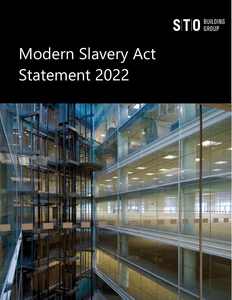

# Modern Slavery Act Statement 2022

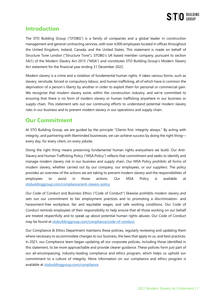

## **Introduction**

The STO Building Group ("STOBG") is a family of companies and a global leader in construction management and general contracting services, with over 4,000 employees located in offices throughout the United Kingdom, Ireland, Canada, and the United States. This statement is made on behalf of Structure Tone London ("Structure Tone"), STOBG's UK-based member company, pursuant to section 54(1) of the Modern Slavery Act 2015 ("MSA") and constitutes STO Building Group's Modern Slavery Act statement for the financial year ending 31 December 2022.

Modern slavery is a crime and a violation of fundamental human rights. It takes various forms, such as slavery, servitude, forced or compulsory labour, and human trafficking, all of which have in common the deprivation of a person's liberty by another in order to exploit them for personal or commercial gain. We recognise that modern slavery exists within the construction industry, and we're committed to ensuring that there is no form of modern slavery or human trafficking anywhere in our business or supply chain. This statement sets out our continuing efforts to understand potential modern slavery risks in our business and to prevent modern slavery in our operations and supply chain.

## **Our Commitment**

At STO Building Group, we are guided by the principle "Clients first. Integrity always." By acting with integrity, and partnering with likeminded businesses, we can achieve success by doing the right thing every day, for every client, on every jobsite.

Doing the right thing means preserving fundamental human rights everywhere we build. Our Anti-Slavery and Human Trafficking Policy ("MSA Policy") reflects that commitment and seeks to identify and manage modern slavery risk in our business and supply chain. Our MSA Policy prohibits all forms of modern slavery, whether carried out by our company, our employees, or our suppliers. The policy provides an overview of the actions we are taking to prevent modern slavery and the responsibilities of employees to assist in those actions. Our MSA Policy is available at [stobuildinggroup.com/compliance/anti-slavery-policy.](https://stobuildinggroup.com/compliance/anti-slavery-policy/) 

Our Code of Conduct and Business Ethics ("Code of Conduct") likewise prohibits modern slavery and sets out our commitment to fair employment practices and to promoting a discrimination- and harassment-free workplace, fair and equitable wages, and safe working conditions. Our Code of Conduct reminds employees of their responsibility to help ensure that all those working on our behalf are treated respectfully and to speak up about potential human rights abuses. Our Code of Conduct may be found at [stobuildinggroup.com/compliance/code-of-conduct.](https://stobuildinggroup.com/compliance/code-of-conduct/) 

Our Compliance & Ethics Department maintains these policies, regularly reviewing and updating them where necessary to accommodate changes to our business, the laws that apply to us, and best practices. In 2021, our Compliance team began updating all our corporate policies, including those identified in this statement, to be more approachable and provide clearer guidance. These policies form just part of our all-encompassing, industry-leading compliance and ethics program, which helps us uphold our commitment to a culture of integrity. More information on our compliance and ethics program is available at [stobuildinggroup.com/compliance.](https://stobuildinggroup.com/compliance/)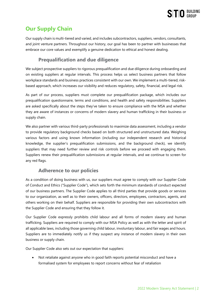

# **Our Supply Chain**

Our supply chain is multi-tiered and varied, and includes subcontractors, suppliers, vendors, consultants, and joint venture partners. Throughout our history, our goal has been to partner with businesses that embrace our core values and exemplify a genuine dedication to ethical and honest dealing.

### **Prequalification and due diligence**

We subject prospective suppliers to rigorous prequalification and due diligence during onboarding and on existing suppliers at regular intervals. This process helps us select business partners that follow workplace standards and business practices consistent with our own. We implement a multi-tiered, riskbased approach, which increases our visibility and reduces regulatory, safety, financial, and legal risk.

As part of our process, suppliers must complete our prequalification package, which includes our prequalification questionnaire, terms and conditions, and health and safety responsibilities. Suppliers are asked specifically about the steps they've taken to ensure compliance with the MSA and whether they are aware of instances or concerns of modern slavery and human trafficking in their business or supply chain.

We also partner with various third-party professionals to maximize data assessment, including a vendor to provide regulatory background checks based on both structured and unstructured data. Weighing various factors and using known information (including our independent research and historical knowledge, the supplier's prequalification submissions, and the background check), we identify suppliers that may need further review and risk controls before we proceed with engaging them. Suppliers renew their prequalification submissions at regular intervals, and we continue to screen for any red flags.

#### **Adherence to our policies**

As a condition of doing business with us, our suppliers must agree to comply with our Supplier Code of Conduct and Ethics ("Supplier Code"), which sets forth the minimum standards of conduct expected of our business partners. The Supplier Code applies to all third parties that provide goods or services to our organization, as well as to their owners, officers, directors, employees, contractors, agents, and others working on their behalf. Suppliers are responsible for providing their own subcontractors with the Supplier Code and ensuring that they follow it.

Our Supplier Code expressly prohibits child labour and all forms of modern slavery and human trafficking. Suppliers are required to comply with our MSA Policy as well as with the letter and spirit of all applicable laws, including those governing child labour, involuntary labour, and fair wages and hours. Suppliers are to immediately notify us if they suspect any instance of modern slavery in their own business or supply chain.

Our Supplier Code also sets out our expectation that suppliers:

• Not retaliate against anyone who in good faith reports potential misconduct and have a formalised system for employees to report concerns without fear of retaliation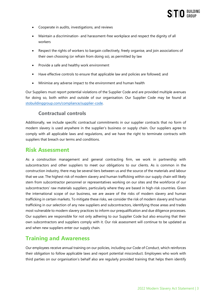

- Cooperate in audits, investigations, and reviews
- Maintain a discrimination- and harassment-free workplace and respect the dignity of all workers
- Respect the rights of workers to bargain collectively, freely organise, and join associations of their own choosing (or refrain from doing so), as permitted by law
- Provide a safe and healthy work environment
- Have effective controls to ensure that applicable law and policies are followed; and
- Minimise any adverse impact to the environment and human health

Our Suppliers must report potential violations of the Supplier Code and are provided multiple avenues for doing so, both within and outside of our organisation. Our Supplier Code may be found at [stobuildinggroup.com/compliance/supplier-code.](https://stobuildinggroup.com/compliance/supplier-code/) 

#### **Contractual controls**

Additionally, we include specific contractual commitments in our supplier contracts that no form of modern slavery is used anywhere in the supplier's business or supply chain. Our suppliers agree to comply with all applicable laws and regulations, and we have the right to terminate contracts with suppliers that breach our terms and conditions.

#### **Risk Assessment**

As a construction management and general contracting firm, we work in partnership with subcontractors and other suppliers to meet our obligations to our clients. As is common in the construction industry, there may be several tiers between us and the source of the materials and labour that we use. The highest risk of modern slavery and human trafficking within our supply chain will likely stem from subcontractor personnel or representatives working on our sites and the workforce of our subcontractors' raw materials suppliers, particularly where they are based in high-risk countries. Given the international scope of our business, we are aware of the risks of modern slavery and human trafficking in certain markets. To mitigate these risks, we consider the risk of modern slavery and human trafficking in our selection of any new suppliers and subcontractors, identifying those areas and trades most vulnerable to modern slavery practices to inform our prequalification and due diligence processes. Our suppliers are responsible for not only adhering to our Supplier Code but also ensuring that their own subcontractors and suppliers comply with it. Our risk assessment will continue to be updated as and when new suppliers enter our supply chain.

## **Training and Awareness**

Our employees receive annual training on our policies, including our Code of Conduct, which reinforces their obligation to follow applicable laws and report potential misconduct. Employees who work with third parties on our organisation's behalf also are regularly provided training that helps them identify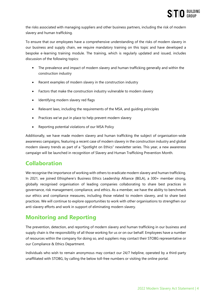the risks associated with managing suppliers and other business partners, including the risk of modern slavery and human trafficking.

To ensure that our employees have a comprehensive understanding of the risks of modern slavery in our business and supply chain, we require mandatory training on this topic and have developed a bespoke e-learning training module. The training, which is regularly updated and issued, includes discussion of the following topics:

- The prevalence and impact of modern slavery and human trafficking generally and within the construction industry
- Recent examples of modern slavery in the construction industry
- Factors that make the construction industry vulnerable to modern slavery
- Identifying modern slavery red flags
- Relevant laws, including the requirements of the MSA, and guiding principles
- Practices we've put in place to help prevent modern slavery
- Reporting potential violations of our MSA Policy

Additionally, we have made modern slavery and human trafficking the subject of organisation-wide awareness campaigns, featuring a recent case of modern slavery in the construction industry and global modern slavery trends as part of a "Spotlight on Ethics" newsletter series. This year, a new awareness campaign will be launched in recognition of Slavery and Human Trafficking Prevention Month.

# **Collaboration**

We recognise the importance of working with others to eradicate modern slavery and human trafficking. In 2021, we joined Ethisphere's Business Ethics Leadership Alliance (BELA), a 300+ member strong, globally recognised organisation of leading companies collaborating to share best practices in governance, risk management, compliance, and ethics. As a member, we have the ability to benchmark our ethics and compliance measures, including those related to modern slavery, and to share best practices. We will continue to explore opportunities to work with other organisations to strengthen our anti-slavery efforts and work in support of eliminating modern slavery.

# **Monitoring and Reporting**

The prevention, detection, and reporting of modern slavery and human trafficking in our business and supply chain is the responsibility of all those working for us or on our behalf. Employees have a number of resources within the company for doing so, and suppliers may contact their STOBG representative or our Compliance & Ethics Department.

Individuals who wish to remain anonymous may contact our 24/7 helpline, operated by a third-party unaffiliated with STOBG, by calling the below toll-free numbers or visiting the online portal.